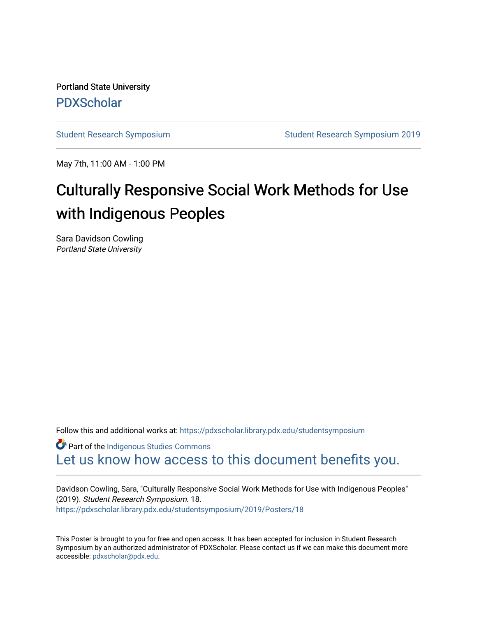Portland State University [PDXScholar](https://pdxscholar.library.pdx.edu/)

[Student Research Symposium](https://pdxscholar.library.pdx.edu/studentsymposium) [Student Research Symposium 2019](https://pdxscholar.library.pdx.edu/studentsymposium/2019) 

May 7th, 11:00 AM - 1:00 PM

#### Culturally Responsive Social Work Methods for Use with Indigenous Peoples

Sara Davidson Cowling Portland State University

Follow this and additional works at: [https://pdxscholar.library.pdx.edu/studentsymposium](https://pdxscholar.library.pdx.edu/studentsymposium?utm_source=pdxscholar.library.pdx.edu%2Fstudentsymposium%2F2019%2FPosters%2F18&utm_medium=PDF&utm_campaign=PDFCoverPages) 

**Part of the Indigenous Studies Commons** [Let us know how access to this document benefits you.](http://library.pdx.edu/services/pdxscholar-services/pdxscholar-feedback/) 

Davidson Cowling, Sara, "Culturally Responsive Social Work Methods for Use with Indigenous Peoples" (2019). Student Research Symposium. 18. [https://pdxscholar.library.pdx.edu/studentsymposium/2019/Posters/18](https://pdxscholar.library.pdx.edu/studentsymposium/2019/Posters/18?utm_source=pdxscholar.library.pdx.edu%2Fstudentsymposium%2F2019%2FPosters%2F18&utm_medium=PDF&utm_campaign=PDFCoverPages) 

This Poster is brought to you for free and open access. It has been accepted for inclusion in Student Research Symposium by an authorized administrator of PDXScholar. Please contact us if we can make this document more accessible: [pdxscholar@pdx.edu.](mailto:pdxscholar@pdx.edu)